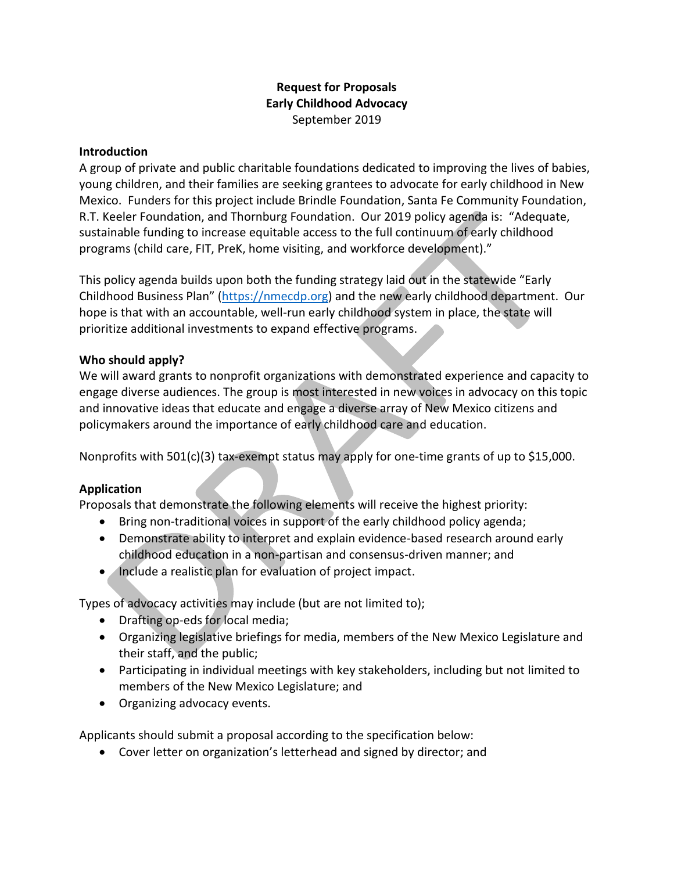# **Request for Proposals Early Childhood Advocacy** September 2019

## **Introduction**

A group of private and public charitable foundations dedicated to improving the lives of babies, young children, and their families are seeking grantees to advocate for early childhood in New Mexico. Funders for this project include Brindle Foundation, Santa Fe Community Foundation, R.T. Keeler Foundation, and Thornburg Foundation. Our 2019 policy agenda is: "Adequate, sustainable funding to increase equitable access to the full continuum of early childhood programs (child care, FIT, PreK, home visiting, and workforce development)."

This policy agenda builds upon both the funding strategy laid out in the statewide "Early Childhood Business Plan" ([https://nmecdp.org\)](https://nmecdp.org/) and the new early childhood department. Our hope is that with an accountable, well-run early childhood system in place, the state will prioritize additional investments to expand effective programs.

## **Who should apply?**

We will award grants to nonprofit organizations with demonstrated experience and capacity to engage diverse audiences. The group is most interested in new voices in advocacy on this topic and innovative ideas that educate and engage a diverse array of New Mexico citizens and policymakers around the importance of early childhood care and education.

Nonprofits with 501(c)(3) tax-exempt status may apply for one-time grants of up to \$15,000.

# **Application**

Proposals that demonstrate the following elements will receive the highest priority:

- Bring non-traditional voices in support of the early childhood policy agenda;
- Demonstrate ability to interpret and explain evidence-based research around early childhood education in a non-partisan and consensus-driven manner; and
- Include a realistic plan for evaluation of project impact.

Types of advocacy activities may include (but are not limited to);

- Drafting op-eds for local media;
- Organizing legislative briefings for media, members of the New Mexico Legislature and their staff, and the public;
- Participating in individual meetings with key stakeholders, including but not limited to members of the New Mexico Legislature; and
- Organizing advocacy events.

Applicants should submit a proposal according to the specification below:

• Cover letter on organization's letterhead and signed by director; and